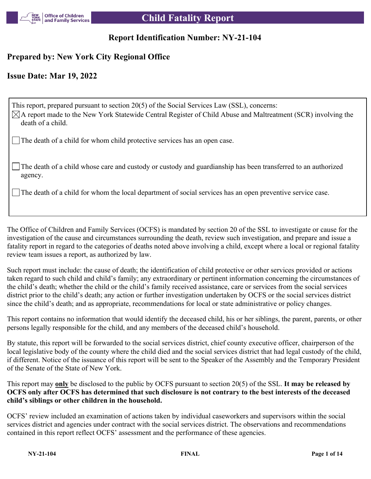

## **Report Identification Number: NY-21-104**

## **Prepared by: New York City Regional Office**

## **Issue Date: Mar 19, 2022**

This report, prepared pursuant to section 20(5) of the Social Services Law (SSL), concerns:  $\boxtimes$ A report made to the New York Statewide Central Register of Child Abuse and Maltreatment (SCR) involving the death of a child. The death of a child for whom child protective services has an open case.

The death of a child whose care and custody or custody and guardianship has been transferred to an authorized agency.

The death of a child for whom the local department of social services has an open preventive service case.

The Office of Children and Family Services (OCFS) is mandated by section 20 of the SSL to investigate or cause for the investigation of the cause and circumstances surrounding the death, review such investigation, and prepare and issue a fatality report in regard to the categories of deaths noted above involving a child, except where a local or regional fatality review team issues a report, as authorized by law.

Such report must include: the cause of death; the identification of child protective or other services provided or actions taken regard to such child and child's family; any extraordinary or pertinent information concerning the circumstances of the child's death; whether the child or the child's family received assistance, care or services from the social services district prior to the child's death; any action or further investigation undertaken by OCFS or the social services district since the child's death; and as appropriate, recommendations for local or state administrative or policy changes.

This report contains no information that would identify the deceased child, his or her siblings, the parent, parents, or other persons legally responsible for the child, and any members of the deceased child's household.

By statute, this report will be forwarded to the social services district, chief county executive officer, chairperson of the local legislative body of the county where the child died and the social services district that had legal custody of the child, if different. Notice of the issuance of this report will be sent to the Speaker of the Assembly and the Temporary President of the Senate of the State of New York.

This report may **only** be disclosed to the public by OCFS pursuant to section 20(5) of the SSL. **It may be released by OCFS only after OCFS has determined that such disclosure is not contrary to the best interests of the deceased child's siblings or other children in the household.**

OCFS' review included an examination of actions taken by individual caseworkers and supervisors within the social services district and agencies under contract with the social services district. The observations and recommendations contained in this report reflect OCFS' assessment and the performance of these agencies.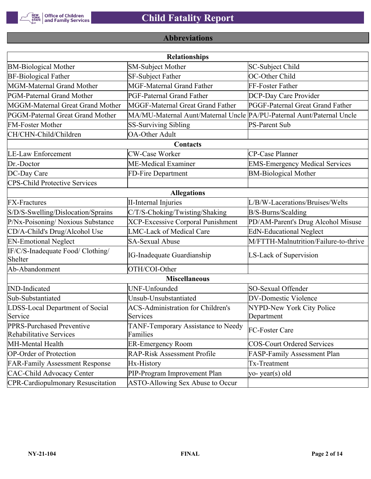

## **Abbreviations**

|                                                      | <b>Relationships</b>                                                  |                                       |
|------------------------------------------------------|-----------------------------------------------------------------------|---------------------------------------|
| <b>BM-Biological Mother</b>                          | <b>SM-Subject Mother</b>                                              | SC-Subject Child                      |
| <b>BF-Biological Father</b>                          | SF-Subject Father                                                     | OC-Other Child                        |
| MGM-Maternal Grand Mother                            | <b>MGF-Maternal Grand Father</b>                                      | FF-Foster Father                      |
| PGM-Paternal Grand Mother                            | PGF-Paternal Grand Father                                             | DCP-Day Care Provider                 |
| MGGM-Maternal Great Grand Mother                     | MGGF-Maternal Great Grand Father                                      | PGGF-Paternal Great Grand Father      |
| PGGM-Paternal Great Grand Mother                     | MA/MU-Maternal Aunt/Maternal Uncle PA/PU-Paternal Aunt/Paternal Uncle |                                       |
| <b>FM-Foster Mother</b>                              | <b>SS-Surviving Sibling</b>                                           | <b>PS-Parent Sub</b>                  |
| CH/CHN-Child/Children                                | <b>OA-Other Adult</b>                                                 |                                       |
|                                                      | Contacts                                                              |                                       |
| <b>LE-Law Enforcement</b>                            | <b>CW-Case Worker</b>                                                 | CP-Case Planner                       |
| Dr.-Doctor                                           | ME-Medical Examiner                                                   | <b>EMS-Emergency Medical Services</b> |
| DC-Day Care                                          | FD-Fire Department                                                    | <b>BM-Biological Mother</b>           |
| <b>CPS-Child Protective Services</b>                 |                                                                       |                                       |
|                                                      | <b>Allegations</b>                                                    |                                       |
| <b>FX-Fractures</b>                                  | <b>II-Internal Injuries</b>                                           | L/B/W-Lacerations/Bruises/Welts       |
| S/D/S-Swelling/Dislocation/Sprains                   | C/T/S-Choking/Twisting/Shaking                                        | B/S-Burns/Scalding                    |
| P/Nx-Poisoning/ Noxious Substance                    | <b>XCP-Excessive Corporal Punishment</b>                              | PD/AM-Parent's Drug Alcohol Misuse    |
| CD/A-Child's Drug/Alcohol Use                        | <b>LMC-Lack of Medical Care</b>                                       | <b>EdN-Educational Neglect</b>        |
| <b>EN-Emotional Neglect</b>                          | <b>SA-Sexual Abuse</b>                                                | M/FTTH-Malnutrition/Failure-to-thrive |
| IF/C/S-Inadequate Food/ Clothing/<br>Shelter         | <b>IG-Inadequate Guardianship</b>                                     | LS-Lack of Supervision                |
| Ab-Abandonment                                       | OTH/COI-Other                                                         |                                       |
|                                                      | <b>Miscellaneous</b>                                                  |                                       |
| <b>IND-Indicated</b>                                 | UNF-Unfounded                                                         | SO-Sexual Offender                    |
| Sub-Substantiated                                    | Unsub-Unsubstantiated                                                 | <b>DV-Domestic Violence</b>           |
| LDSS-Local Department of Social                      | <b>ACS-Administration for Children's</b>                              | NYPD-New York City Police             |
| Service                                              | Services                                                              | Department                            |
| PPRS-Purchased Preventive<br>Rehabilitative Services | TANF-Temporary Assistance to Needy<br>Families                        | FC-Foster Care                        |
| MH-Mental Health                                     | <b>ER-Emergency Room</b>                                              | <b>COS-Court Ordered Services</b>     |
| <b>OP-Order of Protection</b>                        | <b>RAP-Risk Assessment Profile</b>                                    | FASP-Family Assessment Plan           |
| <b>FAR-Family Assessment Response</b>                | Hx-History                                                            | Tx-Treatment                          |
| <b>CAC-Child Advocacy Center</b>                     | PIP-Program Improvement Plan                                          | yo-year(s) old                        |
| <b>CPR-Cardiopulmonary Resuscitation</b>             | ASTO-Allowing Sex Abuse to Occur                                      |                                       |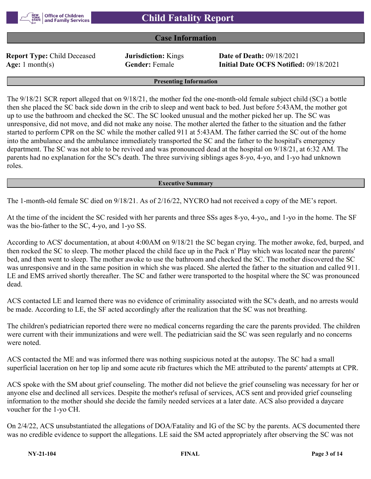

## **Case Information**

**Report Type:** Child Deceased **Jurisdiction:** Kings **Date of Death:** 09/18/2021

**Age:** 1 month(s) **Gender:** Female **Initial Date OCFS Notified:** 09/18/2021

**Presenting Information**

The 9/18/21 SCR report alleged that on 9/18/21, the mother fed the one-month-old female subject child (SC) a bottle then she placed the SC back side down in the crib to sleep and went back to bed. Just before 5:43AM, the mother got up to use the bathroom and checked the SC. The SC looked unusual and the mother picked her up. The SC was unresponsive, did not move, and did not make any noise. The mother alerted the father to the situation and the father started to perform CPR on the SC while the mother called 911 at 5:43AM. The father carried the SC out of the home into the ambulance and the ambulance immediately transported the SC and the father to the hospital's emergency department. The SC was not able to be revived and was pronounced dead at the hospital on 9/18/21, at 6:32 AM. The parents had no explanation for the SC's death. The three surviving siblings ages 8-yo, 4-yo, and 1-yo had unknown roles.

#### **Executive Summary**

The 1-month-old female SC died on 9/18/21. As of 2/16/22, NYCRO had not received a copy of the ME's report.

At the time of the incident the SC resided with her parents and three SSs ages 8-yo, 4-yo,, and 1-yo in the home. The SF was the bio-father to the SC, 4-yo, and 1-yo SS.

According to ACS' documentation, at about 4:00AM on 9/18/21 the SC began crying. The mother awoke, fed, burped, and then rocked the SC to sleep. The mother placed the child face up in the Pack n' Play which was located near the parents' bed, and then went to sleep. The mother awoke to use the bathroom and checked the SC. The mother discovered the SC was unresponsive and in the same position in which she was placed. She alerted the father to the situation and called 911. LE and EMS arrived shortly thereafter. The SC and father were transported to the hospital where the SC was pronounced dead.

ACS contacted LE and learned there was no evidence of criminality associated with the SC's death, and no arrests would be made. According to LE, the SF acted accordingly after the realization that the SC was not breathing.

The children's pediatrician reported there were no medical concerns regarding the care the parents provided. The children were current with their immunizations and were well. The pediatrician said the SC was seen regularly and no concerns were noted.

ACS contacted the ME and was informed there was nothing suspicious noted at the autopsy. The SC had a small superficial laceration on her top lip and some acute rib fractures which the ME attributed to the parents' attempts at CPR.

ACS spoke with the SM about grief counseling. The mother did not believe the grief counseling was necessary for her or anyone else and declined all services. Despite the mother's refusal of services, ACS sent and provided grief counseling information to the mother should she decide the family needed services at a later date. ACS also provided a daycare voucher for the 1-yo CH.

On 2/4/22, ACS unsubstantiated the allegations of DOA/Fatality and IG of the SC by the parents. ACS documented there was no credible evidence to support the allegations. LE said the SM acted appropriately after observing the SC was not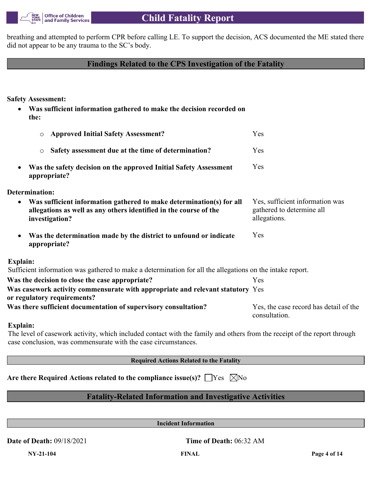

breathing and attempted to perform CPR before calling LE. To support the decision, ACS documented the ME stated there did not appear to be any trauma to the SC's body.

## **Findings Related to the CPS Investigation of the Fatality**

**Safety Assessment:**

 **Was sufficient information gathered to make the decision recorded on the:**

| <b>Approved Initial Safety Assessment?</b><br>$\circ$                                                                                                                    | Yes                                                                          |
|--------------------------------------------------------------------------------------------------------------------------------------------------------------------------|------------------------------------------------------------------------------|
| Safety assessment due at the time of determination?<br>$\circ$                                                                                                           | <b>Yes</b>                                                                   |
| Was the safety decision on the approved Initial Safety Assessment<br>٠<br>appropriate?                                                                                   | Yes                                                                          |
| Determination:                                                                                                                                                           |                                                                              |
| Was sufficient information gathered to make determination(s) for all<br>$\bullet$<br>allegations as well as any others identified in the course of the<br>investigation? | Yes, sufficient information was<br>gathered to determine all<br>allegations. |
| Was the determination made by the district to unfound or indicate<br>$\bullet$<br>appropriate?                                                                           | Yes                                                                          |
| Explain:                                                                                                                                                                 |                                                                              |
| Sufficient information was gathered to make a determination for all the allegations on the intake report.                                                                |                                                                              |
| Was the decision to close the case appropriate?                                                                                                                          | Yes                                                                          |
| Was casework activity commensurate with appropriate and relevant statutory Yes<br>or regulatory requirements?                                                            |                                                                              |
| Was there sufficient documentation of supervisory consultation?                                                                                                          | Yes, the case record has detail of the<br>consultation.                      |
| Explain:                                                                                                                                                                 |                                                                              |

## The level of casework activity, which included contact with the family and others from the receipt of the report through case conclusion, was commensurate with the case circumstances.

**Required Actions Related to the Fatality**

| Are there Required Actions related to the compliance issue(s)? $\Box$ Yes $\Box$ No |  |  |
|-------------------------------------------------------------------------------------|--|--|
|-------------------------------------------------------------------------------------|--|--|

## **Fatality-Related Information and Investigative Activities**

**Incident Information**

**Date of Death:** 09/18/2021 **Time of Death:** 06:32 AM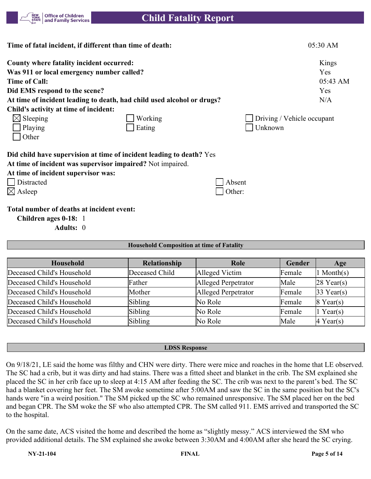

| Time of fatal incident, if different than time of death:               |         |                            | 05:30 AM |
|------------------------------------------------------------------------|---------|----------------------------|----------|
| County where fatality incident occurred:                               |         |                            | Kings    |
| Was 911 or local emergency number called?                              |         |                            | Yes      |
| <b>Time of Call:</b>                                                   |         |                            | 05:43 AM |
| Did EMS respond to the scene?                                          |         |                            | Yes      |
| At time of incident leading to death, had child used alcohol or drugs? |         |                            | N/A      |
| Child's activity at time of incident:                                  |         |                            |          |
| $\boxtimes$ Sleeping                                                   | Working | Driving / Vehicle occupant |          |
| Playing                                                                | Eating  | Unknown                    |          |
| Other                                                                  |         |                            |          |
| Did child have supervision at time of incident leading to death? Yes   |         |                            |          |
| At time of incident was supervisor impaired? Not impaired.             |         |                            |          |
| At time of incident supervisor was:                                    |         |                            |          |
| Distracted                                                             |         | Absent                     |          |
| $\boxtimes$ Asleep                                                     |         | Other:                     |          |
| Total number of deaths at incident event:<br>Children ages 0-18: 1     |         |                            |          |

**Adults:** 0

#### **Household Composition at time of Fatality**

| Household                  | Relationship   | Role                | Gender | Age                   |
|----------------------------|----------------|---------------------|--------|-----------------------|
| Deceased Child's Household | Deceased Child | Alleged Victim      | Female | $\ln \text{Month(s)}$ |
| Deceased Child's Household | Father         | Alleged Perpetrator | Male   | $28$ Year(s)          |
| Deceased Child's Household | Mother         | Alleged Perpetrator | Female | $33$ Year(s)          |
| Deceased Child's Household | Sibling        | No Role             | Female | $8$ Year(s)           |
| Deceased Child's Household | Sibling        | No Role             | Female | $1$ Year(s)           |
| Deceased Child's Household | Sibling        | No Role             | Male   | $ 4 \text{ Year}(s) $ |

#### **LDSS Response**

On 9/18/21, LE said the home was filthy and CHN were dirty. There were mice and roaches in the home that LE observed. The SC had a crib, but it was dirty and had stains. There was a fitted sheet and blanket in the crib. The SM explained she placed the SC in her crib face up to sleep at 4:15 AM after feeding the SC. The crib was next to the parent's bed. The SC had a blanket covering her feet. The SM awoke sometime after 5:00AM and saw the SC in the same position but the SC's hands were "in a weird position." The SM picked up the SC who remained unresponsive. The SM placed her on the bed and began CPR. The SM woke the SF who also attempted CPR. The SM called 911. EMS arrived and transported the SC to the hospital.

On the same date, ACS visited the home and described the home as "slightly messy." ACS interviewed the SM who provided additional details. The SM explained she awoke between 3:30AM and 4:00AM after she heard the SC crying.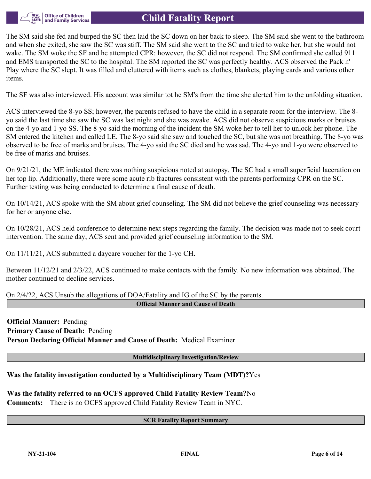

The SM said she fed and burped the SC then laid the SC down on her back to sleep. The SM said she went to the bathroom and when she exited, she saw the SC was stiff. The SM said she went to the SC and tried to wake her, but she would not wake. The SM woke the SF and he attempted CPR: however, the SC did not respond. The SM confirmed she called 911 and EMS transported the SC to the hospital. The SM reported the SC was perfectly healthy. ACS observed the Pack n' Play where the SC slept. It was filled and cluttered with items such as clothes, blankets, playing cards and various other items.

The SF was also interviewed. His account was similar tot he SM's from the time she alerted him to the unfolding situation.

ACS interviewed the 8-yo SS; however, the parents refused to have the child in a separate room for the interview. The 8 yo said the last time she saw the SC was last night and she was awake. ACS did not observe suspicious marks or bruises on the 4-yo and 1-yo SS. The 8-yo said the morning of the incident the SM woke her to tell her to unlock her phone. The SM entered the kitchen and called LE. The 8-yo said she saw and touched the SC, but she was not breathing. The 8-yo was observed to be free of marks and bruises. The 4-yo said the SC died and he was sad. The 4-yo and 1-yo were observed to be free of marks and bruises.

On 9/21/21, the ME indicated there was nothing suspicious noted at autopsy. The SC had a small superficial laceration on her top lip. Additionally, there were some acute rib fractures consistent with the parents performing CPR on the SC. Further testing was being conducted to determine a final cause of death.

On 10/14/21, ACS spoke with the SM about grief counseling. The SM did not believe the grief counseling was necessary for her or anyone else.

On 10/28/21, ACS held conference to determine next steps regarding the family. The decision was made not to seek court intervention. The same day, ACS sent and provided grief counseling information to the SM.

On 11/11/21, ACS submitted a daycare voucher for the 1-yo CH.

Between 11/12/21 and 2/3/22, ACS continued to make contacts with the family. No new information was obtained. The mother continued to decline services.

On 2/4/22, ACS Unsub the allegations of DOA/Fatality and IG of the SC by the parents.

**Official Manner and Cause of Death**

**Official Manner:** Pending **Primary Cause of Death:** Pending **Person Declaring Official Manner and Cause of Death:** Medical Examiner

**Multidisciplinary Investigation/Review**

**Was the fatality investigation conducted by a Multidisciplinary Team (MDT)?**Yes

**Was the fatality referred to an OCFS approved Child Fatality Review Team?**No **Comments:** There is no OCFS approved Child Fatality Review Team in NYC.

## **SCR Fatality Report Summary**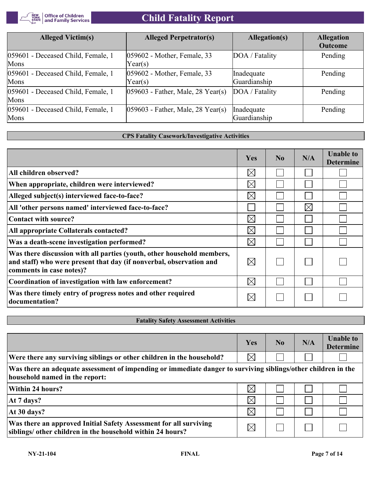

| <b>Alleged Victim(s)</b>                   | <b>Alleged Perpetrator(s)</b>                               | Allegation(s)              | <b>Allegation</b><br><b>Outcome</b> |
|--------------------------------------------|-------------------------------------------------------------|----------------------------|-------------------------------------|
| 059601 - Deceased Child, Female, 1<br>Mons | 059602 - Mother, Female, 33<br>Year(s)                      | DOA / Fatality             | Pending                             |
| 059601 - Deceased Child, Female, 1<br>Mons | 059602 - Mother, Female, 33<br>Year(s)                      | Inadequate<br>Guardianship | Pending                             |
| 059601 - Deceased Child, Female, 1<br>Mons | $ 059603 - \text{Father}, \text{Male}, 28 \text{ Year}(s) $ | DOA / Fatality             | Pending                             |
| 059601 - Deceased Child, Female, 1<br>Mons | $ 059603 - \text{Father}, \text{Male}, 28 \text{ Year}(s) $ | Inadequate<br>Guardianship | Pending                             |

## **CPS Fatality Casework/Investigative Activities**

|                                                                                                                                                                           | Yes         | No | N/A         | <b>Unable to</b><br><b>Determine</b> |
|---------------------------------------------------------------------------------------------------------------------------------------------------------------------------|-------------|----|-------------|--------------------------------------|
| All children observed?                                                                                                                                                    | $\boxtimes$ |    |             |                                      |
| When appropriate, children were interviewed?                                                                                                                              | $\boxtimes$ |    |             |                                      |
| Alleged subject(s) interviewed face-to-face?                                                                                                                              | $\boxtimes$ |    |             |                                      |
| All 'other persons named' interviewed face-to-face?                                                                                                                       |             |    | $\boxtimes$ |                                      |
| <b>Contact with source?</b>                                                                                                                                               | $\boxtimes$ |    |             |                                      |
| All appropriate Collaterals contacted?                                                                                                                                    | $\boxtimes$ |    |             |                                      |
| Was a death-scene investigation performed?                                                                                                                                | $\boxtimes$ |    |             |                                      |
| Was there discussion with all parties (youth, other household members,<br>and staff) who were present that day (if nonverbal, observation and<br>comments in case notes)? | $\boxtimes$ |    |             |                                      |
| Coordination of investigation with law enforcement?                                                                                                                       | $\boxtimes$ |    |             |                                      |
| Was there timely entry of progress notes and other required<br>documentation?                                                                                             | $\boxtimes$ |    |             |                                      |

## **Fatality Safety Assessment Activities**

|                                                                                                                                                 | Yes         | N <sub>0</sub> | N/A | <b>Unable to</b><br><b>Determine</b> |
|-------------------------------------------------------------------------------------------------------------------------------------------------|-------------|----------------|-----|--------------------------------------|
| Were there any surviving siblings or other children in the household?                                                                           | $\boxtimes$ |                |     |                                      |
| Was there an adequate assessment of impending or immediate danger to surviving siblings/other children in the<br>household named in the report: |             |                |     |                                      |
| <b>Within 24 hours?</b>                                                                                                                         | $\boxtimes$ |                |     |                                      |
| At 7 days?                                                                                                                                      | $\boxtimes$ |                |     |                                      |
| At 30 days?                                                                                                                                     | $\times$    |                |     |                                      |
| Was there an approved Initial Safety Assessment for all surviving<br>siblings/ other children in the household within 24 hours?                 | $\boxtimes$ |                |     |                                      |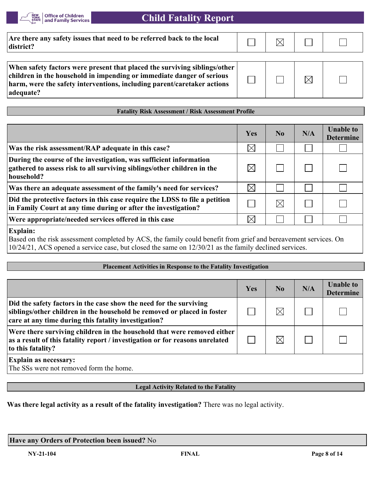

| Are there any safety issues that need to be referred back to the local<br>district?                                                                                                                                                        |  |   |  |
|--------------------------------------------------------------------------------------------------------------------------------------------------------------------------------------------------------------------------------------------|--|---|--|
|                                                                                                                                                                                                                                            |  |   |  |
| When safety factors were present that placed the surviving siblings/other<br>children in the household in impending or immediate danger of serious<br>harm, were the safety interventions, including parent/caretaker actions<br>adequate? |  | M |  |

## **Fatality Risk Assessment / Risk Assessment Profile**

|                                                                                                                                                             | Yes         | $\bf No$    | N/A | <b>Unable to</b><br><b>Determine</b> |
|-------------------------------------------------------------------------------------------------------------------------------------------------------------|-------------|-------------|-----|--------------------------------------|
| Was the risk assessment/RAP adequate in this case?                                                                                                          | $\boxtimes$ |             |     |                                      |
| During the course of the investigation, was sufficient information<br>gathered to assess risk to all surviving siblings/other children in the<br>household? |             |             |     |                                      |
| Was there an adequate assessment of the family's need for services?                                                                                         | $\times$    |             |     |                                      |
| Did the protective factors in this case require the LDSS to file a petition<br>in Family Court at any time during or after the investigation?               |             | $\boxtimes$ |     |                                      |
| Were appropriate/needed services offered in this case                                                                                                       |             |             |     |                                      |

#### **Explain:**

Based on the risk assessment completed by ACS, the family could benefit from grief and bereavement services. On 10/24/21, ACS opened a service case, but closed the same on 12/30/21 as the family declined services.

#### **Placement Activities in Response to the Fatality Investigation**

|                                                                                                                                                                                                       | Yes | N <sub>0</sub> | N/A | <b>Unable to</b><br><b>Determine</b> |
|-------------------------------------------------------------------------------------------------------------------------------------------------------------------------------------------------------|-----|----------------|-----|--------------------------------------|
| Did the safety factors in the case show the need for the surviving<br>siblings/other children in the household be removed or placed in foster<br>care at any time during this fatality investigation? |     |                |     |                                      |
| Were there surviving children in the household that were removed either<br>as a result of this fatality report / investigation or for reasons unrelated<br>to this fatality?                          |     |                |     |                                      |
| <b>Explain as necessary:</b><br>The SSs were not removed form the home.                                                                                                                               |     |                |     |                                      |

## **Legal Activity Related to the Fatality**

**Was there legal activity as a result of the fatality investigation?** There was no legal activity.

| Have any Orders of Protection been issued? No |
|-----------------------------------------------|
|                                               |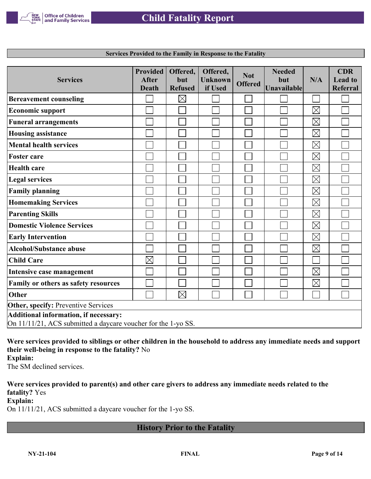

| <b>Services</b>                                               | <b>Provided</b><br><b>After</b> | Offered,<br>but | Offered,<br><b>Unknown</b> | <b>Not</b>     | <b>Needed</b><br>but | N/A         | <b>CDR</b><br><b>Lead to</b> |
|---------------------------------------------------------------|---------------------------------|-----------------|----------------------------|----------------|----------------------|-------------|------------------------------|
|                                                               | <b>Death</b>                    | <b>Refused</b>  | if Used                    | <b>Offered</b> | Unavailable          |             | <b>Referral</b>              |
|                                                               |                                 |                 |                            |                |                      |             |                              |
| <b>Bereavement counseling</b>                                 |                                 | $\boxtimes$     |                            |                |                      |             |                              |
| <b>Economic support</b>                                       |                                 |                 |                            |                |                      | $\boxtimes$ |                              |
| <b>Funeral arrangements</b>                                   |                                 |                 |                            |                |                      | $\boxtimes$ |                              |
| <b>Housing assistance</b>                                     |                                 |                 |                            |                |                      | $\boxtimes$ |                              |
| <b>Mental health services</b>                                 |                                 |                 |                            |                |                      | $\boxtimes$ |                              |
| <b>Foster care</b>                                            |                                 |                 |                            |                |                      | $\boxtimes$ |                              |
| <b>Health care</b>                                            |                                 |                 |                            |                |                      | $\boxtimes$ |                              |
| <b>Legal services</b>                                         |                                 |                 |                            |                |                      | $\boxtimes$ |                              |
| <b>Family planning</b>                                        |                                 |                 |                            |                |                      | $\boxtimes$ |                              |
| <b>Homemaking Services</b>                                    |                                 |                 |                            |                |                      | $\boxtimes$ |                              |
| <b>Parenting Skills</b>                                       |                                 |                 |                            |                |                      | $\boxtimes$ |                              |
| <b>Domestic Violence Services</b>                             |                                 |                 |                            |                |                      | $\boxtimes$ |                              |
| <b>Early Intervention</b>                                     |                                 |                 |                            |                |                      | $\boxtimes$ |                              |
| <b>Alcohol/Substance abuse</b>                                |                                 |                 |                            |                |                      | $\boxtimes$ |                              |
| <b>Child Care</b>                                             | $\boxtimes$                     |                 |                            |                |                      |             |                              |
| Intensive case management                                     |                                 |                 |                            |                |                      | $\boxtimes$ |                              |
| Family or others as safety resources                          |                                 |                 |                            |                |                      | $\boxtimes$ |                              |
| <b>Other</b>                                                  |                                 | $\times$        |                            |                |                      |             |                              |
| <b>Other, specify: Preventive Services</b>                    |                                 |                 |                            |                |                      |             |                              |
| Additional information, if necessary:                         |                                 |                 |                            |                |                      |             |                              |
| On 11/11/21, ACS submitted a daycare voucher for the 1-yo SS. |                                 |                 |                            |                |                      |             |                              |

**Services Provided to the Family in Response to the Fatality**

**Were services provided to siblings or other children in the household to address any immediate needs and support their well-being in response to the fatality?** No **Explain:**

The SM declined services.

**Were services provided to parent(s) and other care givers to address any immediate needs related to the fatality?** Yes

**Explain:**

On 11/11/21, ACS submitted a daycare voucher for the 1-yo SS.

## **History Prior to the Fatality**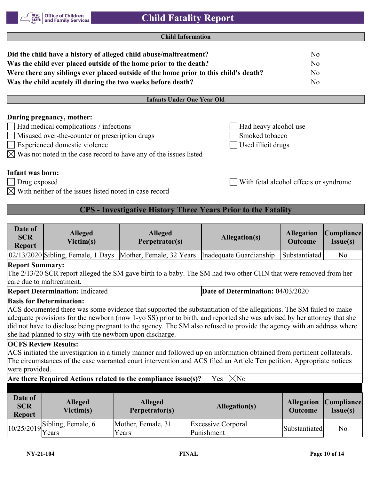**Child Information**

| Did the child have a history of alleged child abuse/maltreatment?                                                                                                                                                                       |                                                               | N <sub>o</sub> |  |  |
|-----------------------------------------------------------------------------------------------------------------------------------------------------------------------------------------------------------------------------------------|---------------------------------------------------------------|----------------|--|--|
| Was the child ever placed outside of the home prior to the death?                                                                                                                                                                       |                                                               | No.            |  |  |
| Were there any siblings ever placed outside of the home prior to this child's death?                                                                                                                                                    | N <sub>o</sub>                                                |                |  |  |
| Was the child acutely ill during the two weeks before death?                                                                                                                                                                            | N <sub>o</sub>                                                |                |  |  |
|                                                                                                                                                                                                                                         |                                                               |                |  |  |
| <b>Infants Under One Year Old</b>                                                                                                                                                                                                       |                                                               |                |  |  |
| During pregnancy, mother:<br>Had medical complications / infections<br>Misused over-the-counter or prescription drugs<br>Experienced domestic violence<br>$\boxtimes$ Was not noted in the case record to have any of the issues listed | Had heavy alcohol use<br>Smoked tobacco<br>Used illicit drugs |                |  |  |

## **Infant was born:**

Drug exposed With fetal alcohol effects or syndrome

 $\boxtimes$  With neither of the issues listed noted in case record

## **CPS - Investigative History Three Years Prior to the Fatality**

| Date of<br><b>SCR</b><br><b>Report</b>                                                      | <b>Alleged</b><br>Victim(s)                                                                                                                                                                                                                                                                                                                                                                                                                                                                                                                                                                                                                                                                                                                              | <b>Alleged</b><br>Perpetrator(s) | Allegation(s)                                                                                                   | <b>Allegation</b><br><b>Outcome</b> | Compliance <br>I <sub>ssue(s)</sub> |
|---------------------------------------------------------------------------------------------|----------------------------------------------------------------------------------------------------------------------------------------------------------------------------------------------------------------------------------------------------------------------------------------------------------------------------------------------------------------------------------------------------------------------------------------------------------------------------------------------------------------------------------------------------------------------------------------------------------------------------------------------------------------------------------------------------------------------------------------------------------|----------------------------------|-----------------------------------------------------------------------------------------------------------------|-------------------------------------|-------------------------------------|
|                                                                                             | $02/13/2020$ Sibling, Female, 1 Days                                                                                                                                                                                                                                                                                                                                                                                                                                                                                                                                                                                                                                                                                                                     | Mother, Female, 32 Years         | Inadequate Guardianship                                                                                         | Substantiated                       | N <sub>o</sub>                      |
| <b>Report Summary:</b>                                                                      | care due to maltreatment.                                                                                                                                                                                                                                                                                                                                                                                                                                                                                                                                                                                                                                                                                                                                |                                  | The 2/13/20 SCR report alleged the SM gave birth to a baby. The SM had two other CHN that were removed from her |                                     |                                     |
|                                                                                             | <b>Report Determination: Indicated</b>                                                                                                                                                                                                                                                                                                                                                                                                                                                                                                                                                                                                                                                                                                                   |                                  | Date of Determination: 04/03/2020                                                                               |                                     |                                     |
| were provided.                                                                              | <b>Basis for Determination:</b><br>ACS documented there was some evidence that supported the substantiation of the allegations. The SM failed to make<br>adequate provisions for the newborn (now 1-yo SS) prior to birth, and reported she was advised by her attorney that she<br>did not have to disclose being pregnant to the agency. The SM also refused to provide the agency with an address where<br>she had planned to stay with the newborn upon discharge.<br><b>OCFS Review Results:</b><br>ACS initiated the investigation in a timely manner and followed up on information obtained from pertinent collaterals.<br>The circumstances of the case warranted court intervention and ACS filed an Article Ten petition. Appropriate notices |                                  |                                                                                                                 |                                     |                                     |
| Are there Required Actions related to the compliance issue(s)? $[$<br>$\boxtimes$ No<br>Yes |                                                                                                                                                                                                                                                                                                                                                                                                                                                                                                                                                                                                                                                                                                                                                          |                                  |                                                                                                                 |                                     |                                     |
| Date of<br><b>SCR</b><br><b>Report</b>                                                      | <b>Alleged</b><br>Victim(s)                                                                                                                                                                                                                                                                                                                                                                                                                                                                                                                                                                                                                                                                                                                              | <b>Alleged</b><br>Perpetrator(s) | <b>Allegation(s)</b>                                                                                            | <b>Allegation</b><br>Outcome        | <b>Compliance</b><br>Issue(s)       |
| 10/25/2019                                                                                  | Sibling, Female, 6<br>Years                                                                                                                                                                                                                                                                                                                                                                                                                                                                                                                                                                                                                                                                                                                              | Mother, Female, 31<br>Years      | <b>Excessive Corporal</b><br>Punishment                                                                         | Substantiated                       | N <sub>o</sub>                      |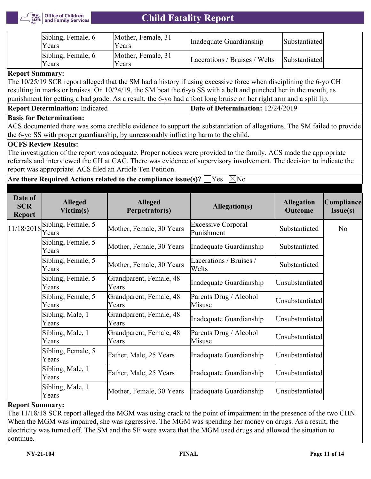

| Sibling, Female, 6<br>Years | Mother, Female, 31<br>Years | Inadequate Guardianship       | Substantiated |
|-----------------------------|-----------------------------|-------------------------------|---------------|
| Sibling, Female, 6<br>Years | Mother, Female, 31<br>Years | Lacerations / Bruises / Welts | Substantiated |

## **Report Summary:**

The 10/25/19 SCR report alleged that the SM had a history if using excessive force when disciplining the 6-yo CH resulting in marks or bruises. On 10/24/19, the SM beat the 6-yo SS with a belt and punched her in the mouth, as punishment for getting a bad grade. As a result, the 6-yo had a foot long bruise on her right arm and a split lip.

## **Basis for Determination:**

ACS documented there was some credible evidence to support the substantiation of allegations. The SM failed to provide the 6-yo SS with proper guardianship, by unreasonably inflicting harm to the child.

## **OCFS Review Results:**

The investigation of the report was adequate. Proper notices were provided to the family. ACS made the appropriate referrals and interviewed the CH at CAC. There was evidence of supervisory involvement. The decision to indicate the report was appropriate. ACS filed an Article Ten Petition.

## **Are there Required Actions related to the compliance issue(s)?**  $\Box$  Yes  $\Box$  No

| Date of<br><b>SCR</b><br><b>Report</b> | <b>Alleged</b><br>Victim(s) | <b>Alleged</b><br>Perpetrator(s) | <b>Allegation(s)</b>                    | <b>Allegation</b><br><b>Outcome</b> | Compliance<br>Issue(s) |
|----------------------------------------|-----------------------------|----------------------------------|-----------------------------------------|-------------------------------------|------------------------|
| 11/18/2018                             | Sibling, Female, 5<br>Years | Mother, Female, 30 Years         | <b>Excessive Corporal</b><br>Punishment | Substantiated                       | N <sub>o</sub>         |
|                                        | Sibling, Female, 5<br>Years | Mother, Female, 30 Years         | Inadequate Guardianship                 | Substantiated                       |                        |
|                                        | Sibling, Female, 5<br>Years | Mother, Female, 30 Years         | Lacerations / Bruises /<br>Welts        | Substantiated                       |                        |
|                                        | Sibling, Female, 5<br>Years | Grandparent, Female, 48<br>Years | Inadequate Guardianship                 | Unsubstantiated                     |                        |
|                                        | Sibling, Female, 5<br>Years | Grandparent, Female, 48<br>Years | Parents Drug / Alcohol<br>Misuse        | Unsubstantiated                     |                        |
|                                        | Sibling, Male, 1<br>Years   | Grandparent, Female, 48<br>Years | Inadequate Guardianship                 | Unsubstantiated                     |                        |
|                                        | Sibling, Male, 1<br>Years   | Grandparent, Female, 48<br>Years | Parents Drug / Alcohol<br>Misuse        | Unsubstantiated                     |                        |
|                                        | Sibling, Female, 5<br>Years | Father, Male, 25 Years           | Inadequate Guardianship                 | Unsubstantiated                     |                        |
|                                        | Sibling, Male, 1<br>Years   | Father, Male, 25 Years           | Inadequate Guardianship                 | Unsubstantiated                     |                        |
|                                        | Sibling, Male, 1<br>Years   | Mother, Female, 30 Years         | Inadequate Guardianship                 | Unsubstantiated                     |                        |

## **Report Summary:**

The 11/18/18 SCR report alleged the MGM was using crack to the point of impairment in the presence of the two CHN. When the MGM was impaired, she was aggressive. The MGM was spending her money on drugs. As a result, the electricity was turned off. The SM and the SF were aware that the MGM used drugs and allowed the situation to continue.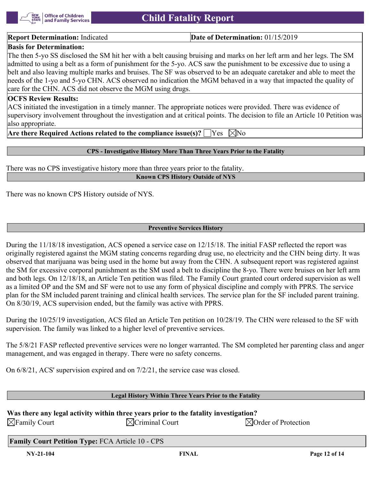

**Report Determination:** Indicated **Date of Determination:** 01/15/2019

## **Basis for Determination:**

The then 5-yo SS disclosed the SM hit her with a belt causing bruising and marks on her left arm and her legs. The SM admitted to using a belt as a form of punishment for the 5-yo. ACS saw the punishment to be excessive due to using a belt and also leaving multiple marks and bruises. The SF was observed to be an adequate caretaker and able to meet the needs of the 1-yo and 5-yo CHN. ACS observed no indication the MGM behaved in a way that impacted the quality of care for the CHN. ACS did not observe the MGM using drugs.

#### **OCFS Review Results:**

ACS initiated the investigation in a timely manner. The appropriate notices were provided. There was evidence of supervisory involvement throughout the investigation and at critical points. The decision to file an Article 10 Petition was also appropriate.

**Are there Required Actions related to the compliance issue(s)?**  $\Box$  Yes  $\Box$  No

#### **CPS - Investigative History More Than Three Years Prior to the Fatality**

There was no CPS investigative history more than three years prior to the fatality.

#### **Known CPS History Outside of NYS**

There was no known CPS History outside of NYS.

#### **Preventive Services History**

During the 11/18/18 investigation, ACS opened a service case on 12/15/18. The initial FASP reflected the report was originally registered against the MGM stating concerns regarding drug use, no electricity and the CHN being dirty. It was observed that marijuana was being used in the home but away from the CHN. A subsequent report was registered against the SM for excessive corporal punishment as the SM used a belt to discipline the 8-yo. There were bruises on her left arm and both legs. On 12/18/18, an Article Ten petition was filed. The Family Court granted court ordered supervision as well as a limited OP and the SM and SF were not to use any form of physical discipline and comply with PPRS. The service plan for the SM included parent training and clinical health services. The service plan for the SF included parent training. On 8/30/19, ACS supervision ended, but the family was active with PPRS.

During the 10/25/19 investigation, ACS filed an Article Ten petition on 10/28/19. The CHN were released to the SF with supervision. The family was linked to a higher level of preventive services.

The 5/8/21 FASP reflected preventive services were no longer warranted. The SM completed her parenting class and anger management, and was engaged in therapy. There were no safety concerns.

On 6/8/21, ACS' supervision expired and on 7/2/21, the service case was closed.

#### **Legal History Within Three Years Prior to the Fatality**

| Was there any legal activity within three years prior to the fatality investigation? |                          |                                 |  |  |
|--------------------------------------------------------------------------------------|--------------------------|---------------------------------|--|--|
| $\boxtimes$ Family Court                                                             | $\bowtie$ Criminal Court | $\boxtimes$ Order of Protection |  |  |

**Family Court Petition Type:** FCA Article 10 - CPS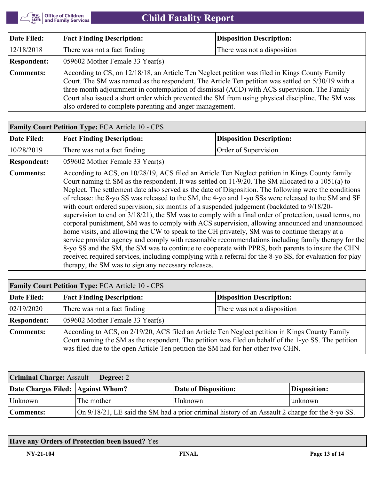

| Date Filed:        | <b>Fact Finding Description:</b>                                                                                                                                                                                                                                                                                                                                                                                                                                     | <b>Disposition Description:</b> |  |  |
|--------------------|----------------------------------------------------------------------------------------------------------------------------------------------------------------------------------------------------------------------------------------------------------------------------------------------------------------------------------------------------------------------------------------------------------------------------------------------------------------------|---------------------------------|--|--|
| 12/18/2018         | There was not a fact finding                                                                                                                                                                                                                                                                                                                                                                                                                                         | There was not a disposition     |  |  |
| <b>Respondent:</b> | $ 059602$ Mother Female 33 Year(s)                                                                                                                                                                                                                                                                                                                                                                                                                                   |                                 |  |  |
| Comments:          | According to CS, on 12/18/18, an Article Ten Neglect petition was filed in Kings County Family<br>Court. The SM was named as the respondent. The Article Ten petition was settled on 5/30/19 with a<br>three month adjournment in contemplation of dismissal (ACD) with ACS supervision. The Family<br>Court also issued a short order which prevented the SM from using physical discipline. The SM was<br>also ordered to complete parenting and anger management. |                                 |  |  |

|                    | <b>Family Court Petition Type: FCA Article 10 - CPS</b>                                                                                                                                                                                                                                                                                                                                                                                                                                                                                                                                                                                                                                                                                                                                                                                                                                                                                                                                                                                                                                                                                                                                                           |                                 |  |  |  |
|--------------------|-------------------------------------------------------------------------------------------------------------------------------------------------------------------------------------------------------------------------------------------------------------------------------------------------------------------------------------------------------------------------------------------------------------------------------------------------------------------------------------------------------------------------------------------------------------------------------------------------------------------------------------------------------------------------------------------------------------------------------------------------------------------------------------------------------------------------------------------------------------------------------------------------------------------------------------------------------------------------------------------------------------------------------------------------------------------------------------------------------------------------------------------------------------------------------------------------------------------|---------------------------------|--|--|--|
| Date Filed:        | <b>Fact Finding Description:</b>                                                                                                                                                                                                                                                                                                                                                                                                                                                                                                                                                                                                                                                                                                                                                                                                                                                                                                                                                                                                                                                                                                                                                                                  | <b>Disposition Description:</b> |  |  |  |
| 10/28/2019         | There was not a fact finding                                                                                                                                                                                                                                                                                                                                                                                                                                                                                                                                                                                                                                                                                                                                                                                                                                                                                                                                                                                                                                                                                                                                                                                      | Order of Supervision            |  |  |  |
| <b>Respondent:</b> | 059602 Mother Female 33 Year(s)                                                                                                                                                                                                                                                                                                                                                                                                                                                                                                                                                                                                                                                                                                                                                                                                                                                                                                                                                                                                                                                                                                                                                                                   |                                 |  |  |  |
| Comments:          | According to ACS, on 10/28/19, ACS filed an Article Ten Neglect petition in Kings County family<br>Court naming th SM as the respondent. It was settled on 11/9/20. The SM allocated to a 1051(a) to<br>Neglect. The settlement date also served as the date of Disposition. The following were the conditions<br>of release: the 8-yo SS was released to the SM, the 4-yo and 1-yo SSs were released to the SM and SF<br>with court ordered supervision, six months of a suspended judgement (backdated to 9/18/20-<br>supervision to end on 3/18/21), the SM was to comply with a final order of protection, usual terms, no<br>corporal punishment, SM was to comply with ACS supervision, allowing announced and unannounced<br>home visits, and allowing the CW to speak to the CH privately, SM was to continue therapy at a<br>service provider agency and comply with reasonable recommendations including family therapy for the<br>8-yo SS and the SM, the SM was to continue to cooperate with PPRS, both parents to insure the CHN<br>received required services, including complying with a referral for the 8-yo SS, for evaluation for play<br>therapy, the SM was to sign any necessary releases. |                                 |  |  |  |

| <b>Family Court Petition Type: FCA Article 10 - CPS</b> |                                                                                                                                                                                                                                                                                            |                                 |  |  |
|---------------------------------------------------------|--------------------------------------------------------------------------------------------------------------------------------------------------------------------------------------------------------------------------------------------------------------------------------------------|---------------------------------|--|--|
| Date Filed:                                             | <b>Fact Finding Description:</b>                                                                                                                                                                                                                                                           | <b>Disposition Description:</b> |  |  |
| 02/19/2020                                              | There was not a fact finding                                                                                                                                                                                                                                                               | There was not a disposition     |  |  |
| <b>Respondent:</b>                                      | $(059602 \text{ Mother Female } 33 \text{ Year(s)})$                                                                                                                                                                                                                                       |                                 |  |  |
| Comments:                                               | According to ACS, on 2/19/20, ACS filed an Article Ten Neglect petition in Kings County Family<br>Court naming the SM as the respondent. The petition was filed on behalf of the 1-yo SS. The petition<br>was filed due to the open Article Ten petition the SM had for her other two CHN. |                                 |  |  |

| <b>Criminal Charge: Assault</b><br>Degree: 2                                                                 |            |                      |              |  |
|--------------------------------------------------------------------------------------------------------------|------------|----------------------|--------------|--|
| Date Charges Filed: Against Whom?                                                                            |            | Date of Disposition: | Disposition: |  |
| Unknown                                                                                                      | The mother | <b>Unknown</b>       | unknown      |  |
| On 9/18/21, LE said the SM had a prior criminal history of an Assault 2 charge for the 8-yo SS.<br>Comments: |            |                      |              |  |

## **Have any Orders of Protection been issued?** Yes